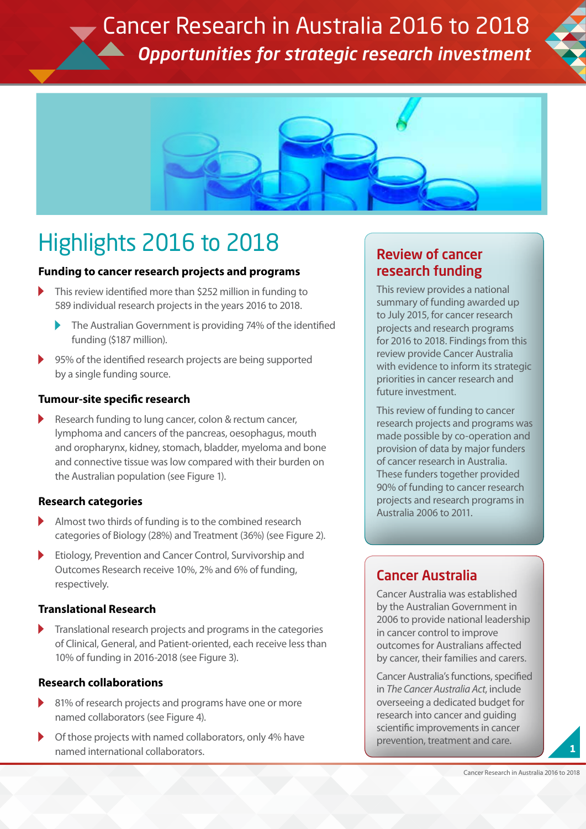Cancer Research in Australia 2016 to 2018 *Opportunities for strategic research investment*





## Highlights 2016 to 2018

## **Funding to cancer research projects and programs**

- This review identified more than \$252 million in funding to 589 individual research projects in the years 2016 to 2018.
	- The Australian Government is providing 74% of the identified funding (\$187 million).
- 95% of the identified research projects are being supported by a single funding source.

## **Tumour-site specific research**

Research funding to lung cancer, colon & rectum cancer, lymphoma and cancers of the pancreas, oesophagus, mouth and oropharynx, kidney, stomach, bladder, myeloma and bone and connective tissue was low compared with their burden on the Australian population (see Figure 1).

## **Research categories**

- Almost two thirds of funding is to the combined research categories of Biology (28%) and Treatment (36%) (see Figure 2).
- Etiology, Prevention and Cancer Control, Survivorship and Outcomes Research receive 10%, 2% and 6% of funding, respectively.

## **Translational Research**

Translational research projects and programs in the categories of Clinical, General, and Patient-oriented, each receive less than 10% of funding in 2016-2018 (see Figure 3).

## **Research collaborations**

- 81% of research projects and programs have one or more named collaborators (see Figure 4).
- Of those projects with named collaborators, only 4% have named international collaborators.

## Review of cancer research funding

This review provides a national summary of funding awarded up to July 2015, for cancer research projects and research programs for 2016 to 2018. Findings from this review provide Cancer Australia with evidence to inform its strategic priorities in cancer research and future investment.

This review of funding to cancer research projects and programs was made possible by co-operation and provision of data by major funders of cancer research in Australia. These funders together provided 90% of funding to cancer research projects and research programs in Australia 2006 to 2011.

## Cancer Australia

Cancer Australia was established by the Australian Government in 2006 to provide national leadership in cancer control to improve outcomes for Australians affected by cancer, their families and carers.

Cancer Australia's functions, specified in *The Cancer Australia Act*, include overseeing a dedicated budget for research into cancer and guiding scientific improvements in cancer prevention, treatment and care. **<sup>1</sup>**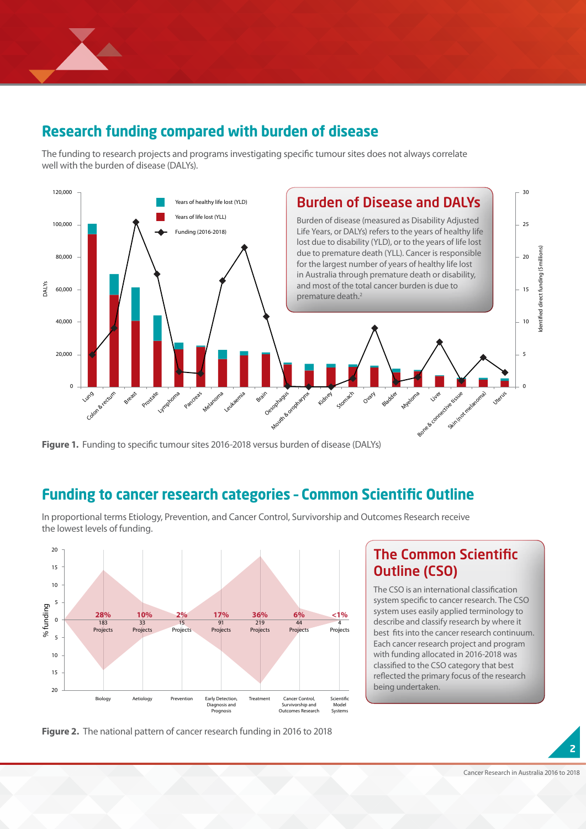

## **Research funding compared with burden of disease**

The funding to research projects and programs investigating specific tumour sites does not always correlate well with the burden of disease (DALYs).



**Figure 1.** Funding to specific tumour sites 2016-2018 versus burden of disease (DALYs)

# **Funding to cancer research categories - Common Scientific Outline**<br>In proportional terms Etiology, Prevention, and Cancer Control, Survivorship and Outcomes Research receive

5 In proportional terms Etiology, Prevention, and Cancer Control, Survivorship and Outcomes Research receive **28% 10%** the lowest levels of funding.

**4% 6%**



**44% Figure 2.** The national pattern of cancer research funding in 2016 to 2018

## The Common Scientific Outline (CSO)

The CSO is an international classification system specific to cancer research. The CSO system uses easily applied terminology to describe and classify research by where it best fits into the cancer research continuum. Each cancer research project and program with funding allocated in 2016-2018 was classified to the CSO category that best reflected the primary focus of the research being undertaken.

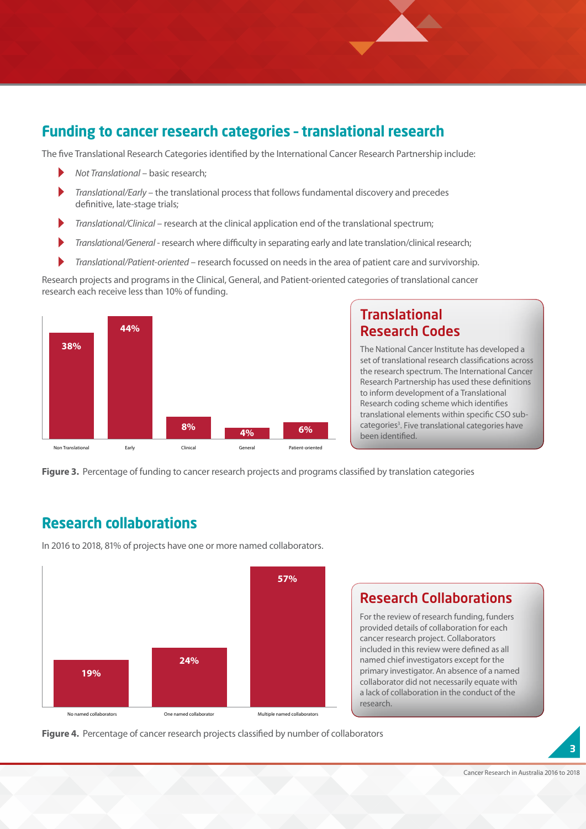## **Funding to cancer research categories – translational research**  20

The five Translational Research Categories identified by the International Cancer Research Partnership include:<br>
• Not Translational – basic research;<br>
• Translational/Farly – the translational process that follows fundame

 $\sum_{i=1}^n$  $\overline{\mathbb{R}}$ 

Translational Research Categories<br>*Not Translational –* basic research;

 $\overrightarrow{A}$ 

 $\sum_{i=1}^N$ 

- *Translational/Early* the translational process that follows fundamental discovery and precedes definitive, late-stage trials; **28% 10% 2%**
- Translational/Clinical research at the clinical application end of the translational spectrum;
- *Translational/General* research where difficulty in separating early and late translation/clinical research;
- *Translational/Patient-oriented* research focussed on needs in the area of patient care and survivorship.

Research projects and programs in the Clinical, General, and Patient-oriented categories of translational cancer research each receive less than 10% of funding. Re<br>re **1** receive less than 10% of funding.  $\overline{1}$ 



## **Translational** Research Codes

The National Cancer Institute has developed a set of translational research classifications across the research spectrum. The International Cancer Research Partnership has used these definitions to inform development of a Translational Research coding scheme which identifies translational elements within specific CSO subcategories<sup>3</sup>. Five translational categories have been identified.

 $\frac{X}{2}$ 

 $X$ 

Identified direct funding (\$millions)

**Figure 3.** Percentage of funding to cancer research projects and programs classified by translation categories

## **Research collaborations**

In 2016 to 2018, 81% of projects have one or more named collaborators.



## Research Collaborations

For the review of research funding, funders provided details of collaboration for each cancer research project. Collaborators included in this review were defined as all named chief investigators except for the primary investigator. An absence of a named collaborator did not necessarily equate with a lack of collaboration in the conduct of the research.

Figure 4. Percentage of cancer research projects classified by number of collaborators

**3**